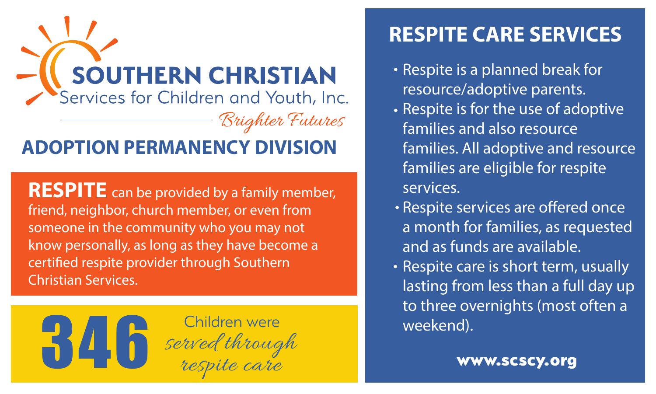

**RESPITE** can be provided by a family member, friend, neighbor, church member, or even from someone in the community who you may not know personally, as long as they have become a certified respite provider through Southern Christian Services.



## **RESPITE CARE SERVICES**

- Respite is a planned break for resource/adoptive parents.
- Respite is for the use of adoptive families and also resource families. All adoptive and resource families are eligible for respite services.
- Respite services are offered once a month for families, as requested and as funds are available.
- Respite care is short term, usually lasting from less than a full day up to three overnights (most often a weekend).

www.scscy.org